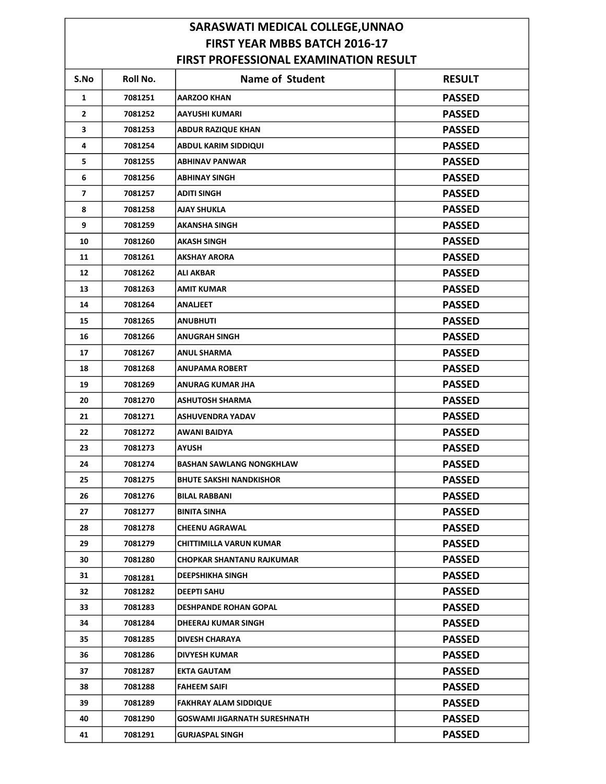## SARASWATI MEDICAL COLLEGE,UNNAO FIRST YEAR MBBS BATCH 2016-17 FIRST PROFESSIONAL EXAMINATION RESULT

| JI I KULEJJIURAL LAARIIKATIUI |          |                                     |               |  |  |  |
|-------------------------------|----------|-------------------------------------|---------------|--|--|--|
| S.No                          | Roll No. | <b>Name of Student</b>              | <b>RESULT</b> |  |  |  |
| 1                             | 7081251  | <b>AARZOO KHAN</b>                  | <b>PASSED</b> |  |  |  |
| 2                             | 7081252  | <b>AAYUSHI KUMARI</b>               | <b>PASSED</b> |  |  |  |
| 3                             | 7081253  | <b>ABDUR RAZIQUE KHAN</b>           | <b>PASSED</b> |  |  |  |
| 4                             | 7081254  | <b>ABDUL KARIM SIDDIQUI</b>         | <b>PASSED</b> |  |  |  |
| 5                             | 7081255  | <b>ABHINAV PANWAR</b>               | <b>PASSED</b> |  |  |  |
| 6                             | 7081256  | <b>ABHINAY SINGH</b>                | <b>PASSED</b> |  |  |  |
| $\overline{ }$                | 7081257  | <b>ADITI SINGH</b>                  | <b>PASSED</b> |  |  |  |
| 8                             | 7081258  | <b>AJAY SHUKLA</b>                  | <b>PASSED</b> |  |  |  |
| 9                             | 7081259  | AKANSHA SINGH                       | <b>PASSED</b> |  |  |  |
| 10                            | 7081260  | AKASH SINGH                         | <b>PASSED</b> |  |  |  |
| 11                            | 7081261  | <b>AKSHAY ARORA</b>                 | <b>PASSED</b> |  |  |  |
| 12                            | 7081262  | <b>ALI AKBAR</b>                    | <b>PASSED</b> |  |  |  |
| 13                            | 7081263  | AMIT KUMAR                          | <b>PASSED</b> |  |  |  |
| 14                            | 7081264  | <b>ANALJEET</b>                     | <b>PASSED</b> |  |  |  |
| 15                            | 7081265  | <b>ANUBHUTI</b>                     | <b>PASSED</b> |  |  |  |
| 16                            | 7081266  | <b>ANUGRAH SINGH</b>                | <b>PASSED</b> |  |  |  |
| 17                            | 7081267  | <b>ANUL SHARMA</b>                  | <b>PASSED</b> |  |  |  |
| 18                            | 7081268  | <b>ANUPAMA ROBERT</b>               | <b>PASSED</b> |  |  |  |
| 19                            | 7081269  | ANURAG KUMAR JHA                    | <b>PASSED</b> |  |  |  |
| 20                            | 7081270  | <b>ASHUTOSH SHARMA</b>              | <b>PASSED</b> |  |  |  |
| 21                            | 7081271  | <b>ASHUVENDRA YADAV</b>             | <b>PASSED</b> |  |  |  |
| 22                            | 7081272  | AWANI BAIDYA                        | <b>PASSED</b> |  |  |  |
| 23                            | 7081273  | AYUSH                               | <b>PASSED</b> |  |  |  |
| 24                            | 7081274  | <b>BASHAN SAWLANG NONGKHLAW</b>     | <b>PASSED</b> |  |  |  |
| 25                            | 7081275  | <b>BHUTE SAKSHI NANDKISHOR</b>      | <b>PASSED</b> |  |  |  |
| 26                            | 7081276  | <b>BILAL RABBANI</b>                | <b>PASSED</b> |  |  |  |
| 27                            | 7081277  | <b>BINITA SINHA</b>                 | <b>PASSED</b> |  |  |  |
| 28                            | 7081278  | <b>CHEENU AGRAWAL</b>               | <b>PASSED</b> |  |  |  |
| 29                            | 7081279  | <b>CHITTIMILLA VARUN KUMAR</b>      | <b>PASSED</b> |  |  |  |
| 30                            | 7081280  | <b>CHOPKAR SHANTANU RAJKUMAR</b>    | <b>PASSED</b> |  |  |  |
| 31                            | 7081281  | <b>DEEPSHIKHA SINGH</b>             | <b>PASSED</b> |  |  |  |
| 32                            | 7081282  | <b>DEEPTI SAHU</b>                  | <b>PASSED</b> |  |  |  |
| 33                            | 7081283  | <b>DESHPANDE ROHAN GOPAL</b>        | <b>PASSED</b> |  |  |  |
| 34                            | 7081284  | <b>DHEERAJ KUMAR SINGH</b>          | <b>PASSED</b> |  |  |  |
| 35                            | 7081285  | <b>DIVESH CHARAYA</b>               | <b>PASSED</b> |  |  |  |
| 36                            | 7081286  | <b>DIVYESH KUMAR</b>                | <b>PASSED</b> |  |  |  |
| 37                            | 7081287  | <b>EKTA GAUTAM</b>                  | <b>PASSED</b> |  |  |  |
| 38                            | 7081288  | <b>FAHEEM SAIFI</b>                 | <b>PASSED</b> |  |  |  |
| 39                            | 7081289  | <b>FAKHRAY ALAM SIDDIQUE</b>        | <b>PASSED</b> |  |  |  |
| 40                            | 7081290  | <b>GOSWAMI JIGARNATH SURESHNATH</b> | <b>PASSED</b> |  |  |  |
| 41                            | 7081291  | <b>GURJASPAL SINGH</b>              | <b>PASSED</b> |  |  |  |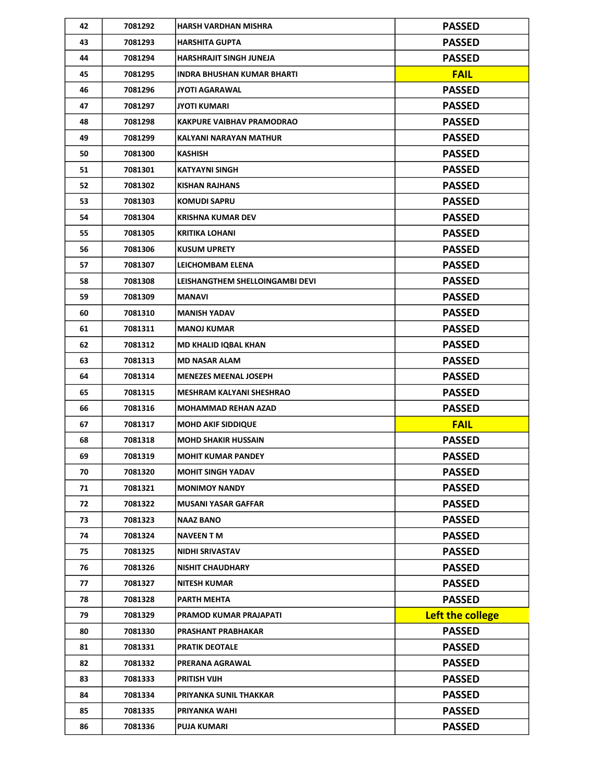| 42 | 7081292 | <b>HARSH VARDHAN MISHRA</b>      | <b>PASSED</b>    |
|----|---------|----------------------------------|------------------|
| 43 | 7081293 | <b>HARSHITA GUPTA</b>            | <b>PASSED</b>    |
| 44 | 7081294 | HARSHRAJIT SINGH JUNEJA          | <b>PASSED</b>    |
| 45 | 7081295 | INDRA BHUSHAN KUMAR BHARTI       | <b>FAIL</b>      |
| 46 | 7081296 | <b>JYOTI AGARAWAL</b>            | <b>PASSED</b>    |
| 47 | 7081297 | <b>JYOTI KUMARI</b>              | <b>PASSED</b>    |
| 48 | 7081298 | <b>KAKPURE VAIBHAV PRAMODRAO</b> | <b>PASSED</b>    |
| 49 | 7081299 | KALYANI NARAYAN MATHUR           | <b>PASSED</b>    |
| 50 | 7081300 | <b>KASHISH</b>                   | <b>PASSED</b>    |
| 51 | 7081301 | KATYAYNI SINGH                   | <b>PASSED</b>    |
| 52 | 7081302 | KISHAN RAJHANS                   | <b>PASSED</b>    |
| 53 | 7081303 | <b>KOMUDI SAPRU</b>              | <b>PASSED</b>    |
| 54 | 7081304 | <b>KRISHNA KUMAR DEV</b>         | <b>PASSED</b>    |
| 55 | 7081305 | <b>KRITIKA LOHANI</b>            | <b>PASSED</b>    |
| 56 | 7081306 | <b>KUSUM UPRETY</b>              | <b>PASSED</b>    |
| 57 | 7081307 | LEICHOMBAM ELENA                 | <b>PASSED</b>    |
| 58 | 7081308 | LEISHANGTHEM SHELLOINGAMBI DEVI  | <b>PASSED</b>    |
| 59 | 7081309 | <b>MANAVI</b>                    | <b>PASSED</b>    |
| 60 | 7081310 | <b>MANISH YADAV</b>              | <b>PASSED</b>    |
| 61 | 7081311 | <b>MANOJ KUMAR</b>               | <b>PASSED</b>    |
| 62 | 7081312 | <b>MD KHALID IQBAL KHAN</b>      | <b>PASSED</b>    |
| 63 | 7081313 | <b>MD NASAR ALAM</b>             | <b>PASSED</b>    |
| 64 | 7081314 | <b>MENEZES MEENAL JOSEPH</b>     | <b>PASSED</b>    |
| 65 | 7081315 | <b>MESHRAM KALYANI SHESHRAO</b>  | <b>PASSED</b>    |
| 66 | 7081316 | <b>MOHAMMAD REHAN AZAD</b>       | <b>PASSED</b>    |
| 67 | 7081317 | <b>MOHD AKIF SIDDIQUE</b>        | <b>FAIL</b>      |
| 68 | 7081318 | <b>MOHD SHAKIR HUSSAIN</b>       | <b>PASSED</b>    |
| 69 | 7081319 | <b>MOHIT KUMAR PANDEY</b>        | <b>PASSED</b>    |
| 70 | 7081320 | <b>MOHIT SINGH YADAV</b>         | <b>PASSED</b>    |
| 71 | 7081321 | <b>MONIMOY NANDY</b>             | <b>PASSED</b>    |
| 72 | 7081322 | <b>MUSANI YASAR GAFFAR</b>       | <b>PASSED</b>    |
| 73 | 7081323 | <b>NAAZ BANO</b>                 | <b>PASSED</b>    |
| 74 | 7081324 | NAVEEN T M                       | <b>PASSED</b>    |
| 75 | 7081325 | NIDHI SRIVASTAV                  | <b>PASSED</b>    |
| 76 | 7081326 | <b>NISHIT CHAUDHARY</b>          | <b>PASSED</b>    |
| 77 | 7081327 | <b>NITESH KUMAR</b>              | <b>PASSED</b>    |
| 78 | 7081328 | PARTH MEHTA                      | <b>PASSED</b>    |
| 79 | 7081329 | PRAMOD KUMAR PRAJAPATI           | Left the college |
| 80 | 7081330 | PRASHANT PRABHAKAR               | <b>PASSED</b>    |
| 81 | 7081331 | <b>PRATIK DEOTALE</b>            | <b>PASSED</b>    |
| 82 | 7081332 | PRERANA AGRAWAL                  | <b>PASSED</b>    |
| 83 | 7081333 | PRITISH VIJH                     | <b>PASSED</b>    |
| 84 | 7081334 | PRIYANKA SUNIL THAKKAR           | <b>PASSED</b>    |
| 85 | 7081335 | PRIYANKA WAHI                    | <b>PASSED</b>    |
| 86 | 7081336 | <b>PUJA KUMARI</b>               | <b>PASSED</b>    |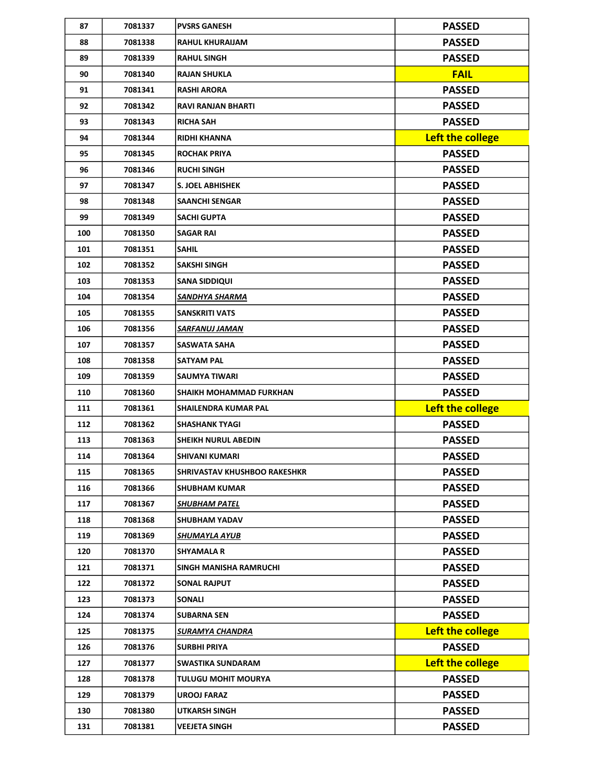| 87  | 7081337 | <b>PVSRS GANESH</b>                 | <b>PASSED</b>    |
|-----|---------|-------------------------------------|------------------|
| 88  | 7081338 | <b>RAHUL KHURAIJAM</b>              | <b>PASSED</b>    |
| 89  | 7081339 | <b>RAHUL SINGH</b>                  | <b>PASSED</b>    |
| 90  | 7081340 | <b>RAJAN SHUKLA</b>                 | <b>FAIL</b>      |
| 91  | 7081341 | <b>RASHI ARORA</b>                  | <b>PASSED</b>    |
| 92  | 7081342 | <b>RAVI RANJAN BHARTI</b>           | <b>PASSED</b>    |
| 93  | 7081343 | <b>RICHA SAH</b>                    | <b>PASSED</b>    |
| 94  | 7081344 | <b>RIDHI KHANNA</b>                 | Left the college |
| 95  | 7081345 | <b>ROCHAK PRIYA</b>                 | <b>PASSED</b>    |
| 96  | 7081346 | <b>RUCHI SINGH</b>                  | <b>PASSED</b>    |
| 97  | 7081347 | S. JOEL ABHISHEK                    | <b>PASSED</b>    |
| 98  | 7081348 | <b>SAANCHI SENGAR</b>               | <b>PASSED</b>    |
| 99  | 7081349 | SACHI GUPTA                         | <b>PASSED</b>    |
| 100 | 7081350 | <b>SAGAR RAI</b>                    | <b>PASSED</b>    |
| 101 | 7081351 | <b>SAHIL</b>                        | <b>PASSED</b>    |
| 102 | 7081352 | <b>SAKSHI SINGH</b>                 | <b>PASSED</b>    |
| 103 | 7081353 | SANA SIDDIQUI                       | <b>PASSED</b>    |
| 104 | 7081354 | SANDHYA SHARMA                      | <b>PASSED</b>    |
| 105 | 7081355 | <b>SANSKRITI VATS</b>               | <b>PASSED</b>    |
| 106 | 7081356 | SARFANUJ JAMAN                      | <b>PASSED</b>    |
| 107 | 7081357 | SASWATA SAHA                        | <b>PASSED</b>    |
| 108 | 7081358 | <b>SATYAM PAL</b>                   | <b>PASSED</b>    |
| 109 | 7081359 | SAUMYA TIWARI                       | <b>PASSED</b>    |
|     |         |                                     |                  |
| 110 | 7081360 | SHAIKH MOHAMMAD FURKHAN             | <b>PASSED</b>    |
| 111 | 7081361 | SHAILENDRA KUMAR PAL                | Left the college |
| 112 | 7081362 | <b>SHASHANK TYAGI</b>               | <b>PASSED</b>    |
| 113 | 7081363 | <b>SHEIKH NURUL ABEDIN</b>          | <b>PASSED</b>    |
| 114 | 7081364 | <b>SHIVANI KUMARI</b>               | <b>PASSED</b>    |
| 115 | 7081365 | <b>SHRIVASTAV KHUSHBOO RAKESHKR</b> | <b>PASSED</b>    |
| 116 | 7081366 | <b>SHUBHAM KUMAR</b>                | <b>PASSED</b>    |
| 117 | 7081367 | SHUBHAM PATEL                       | <b>PASSED</b>    |
| 118 | 7081368 | <b>SHUBHAM YADAV</b>                | <b>PASSED</b>    |
| 119 | 7081369 | SHUMAYLA AYUB                       | <b>PASSED</b>    |
| 120 | 7081370 | <b>SHYAMALA R</b>                   | <b>PASSED</b>    |
| 121 | 7081371 | <b>SINGH MANISHA RAMRUCHI</b>       | <b>PASSED</b>    |
| 122 | 7081372 | <b>SONAL RAJPUT</b>                 | <b>PASSED</b>    |
| 123 | 7081373 | <b>SONALI</b>                       | <b>PASSED</b>    |
| 124 | 7081374 | <b>SUBARNA SEN</b>                  | <b>PASSED</b>    |
| 125 | 7081375 | SURAMYA CHANDRA                     | Left the college |
| 126 | 7081376 | <b>SURBHI PRIYA</b>                 | <b>PASSED</b>    |
| 127 | 7081377 | <b>SWASTIKA SUNDARAM</b>            | Left the college |
| 128 | 7081378 | TULUGU MOHIT MOURYA                 | <b>PASSED</b>    |
| 129 | 7081379 | <b>UROOJ FARAZ</b>                  | <b>PASSED</b>    |
| 130 | 7081380 | UTKARSH SINGH                       | <b>PASSED</b>    |